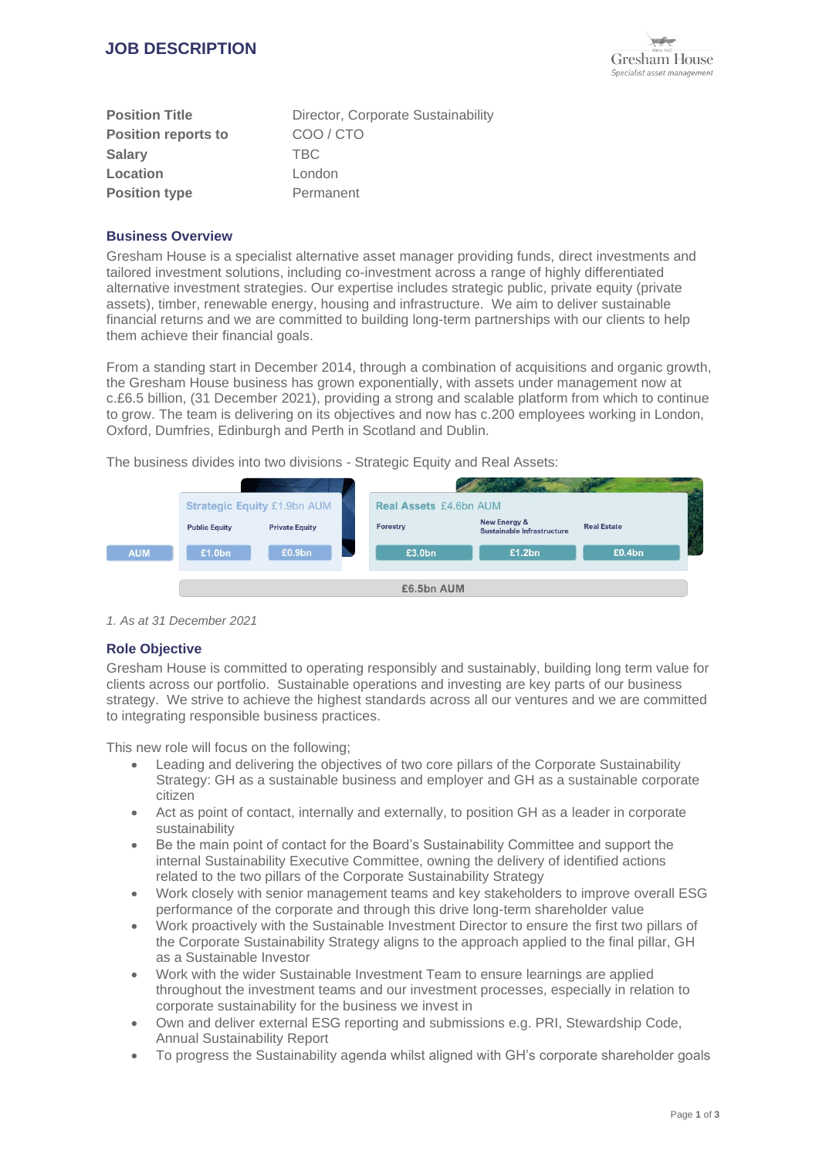

| <b>Position Title</b>      | Director, Corporate Sustainability |
|----------------------------|------------------------------------|
| <b>Position reports to</b> | COO/CTO                            |
| <b>Salary</b>              | TBC.                               |
| Location                   | London                             |
| <b>Position type</b>       | Permanent                          |

## **Business Overview**

Gresham House is a specialist alternative asset manager providing funds, direct investments and tailored investment solutions, including co-investment across a range of highly differentiated alternative investment strategies. Our expertise includes strategic public, private equity (private assets), timber, renewable energy, housing and infrastructure. We aim to deliver sustainable financial returns and we are committed to building long-term partnerships with our clients to help them achieve their financial goals.

From a standing start in December 2014, through a combination of acquisitions and organic growth, the Gresham House business has grown exponentially, with assets under management now at c.£6.5 billion, (31 December 2021), providing a strong and scalable platform from which to continue to grow. The team is delivering on its objectives and now has c.200 employees working in London, Oxford, Dumfries, Edinburgh and Perth in Scotland and Dublin.

The business divides into two divisions - Strategic Equity and Real Assets:



*1. As at 31 December 2021*

## **Role Objective**

Gresham House is committed to operating responsibly and sustainably, building long term value for clients across our portfolio. Sustainable operations and investing are key parts of our business strategy. We strive to achieve the highest standards across all our ventures and we are committed to integrating responsible business practices.

This new role will focus on the following;

- Leading and delivering the objectives of two core pillars of the Corporate Sustainability Strategy: GH as a sustainable business and employer and GH as a sustainable corporate citizen
- Act as point of contact, internally and externally, to position GH as a leader in corporate sustainability
- Be the main point of contact for the Board's Sustainability Committee and support the internal Sustainability Executive Committee, owning the delivery of identified actions related to the two pillars of the Corporate Sustainability Strategy
- Work closely with senior management teams and key stakeholders to improve overall ESG performance of the corporate and through this drive long-term shareholder value
- Work proactively with the Sustainable Investment Director to ensure the first two pillars of the Corporate Sustainability Strategy aligns to the approach applied to the final pillar, GH as a Sustainable Investor
- Work with the wider Sustainable Investment Team to ensure learnings are applied throughout the investment teams and our investment processes, especially in relation to corporate sustainability for the business we invest in
- Own and deliver external ESG reporting and submissions e.g. PRI, Stewardship Code, Annual Sustainability Report
- To progress the Sustainability agenda whilst aligned with GH's corporate shareholder goals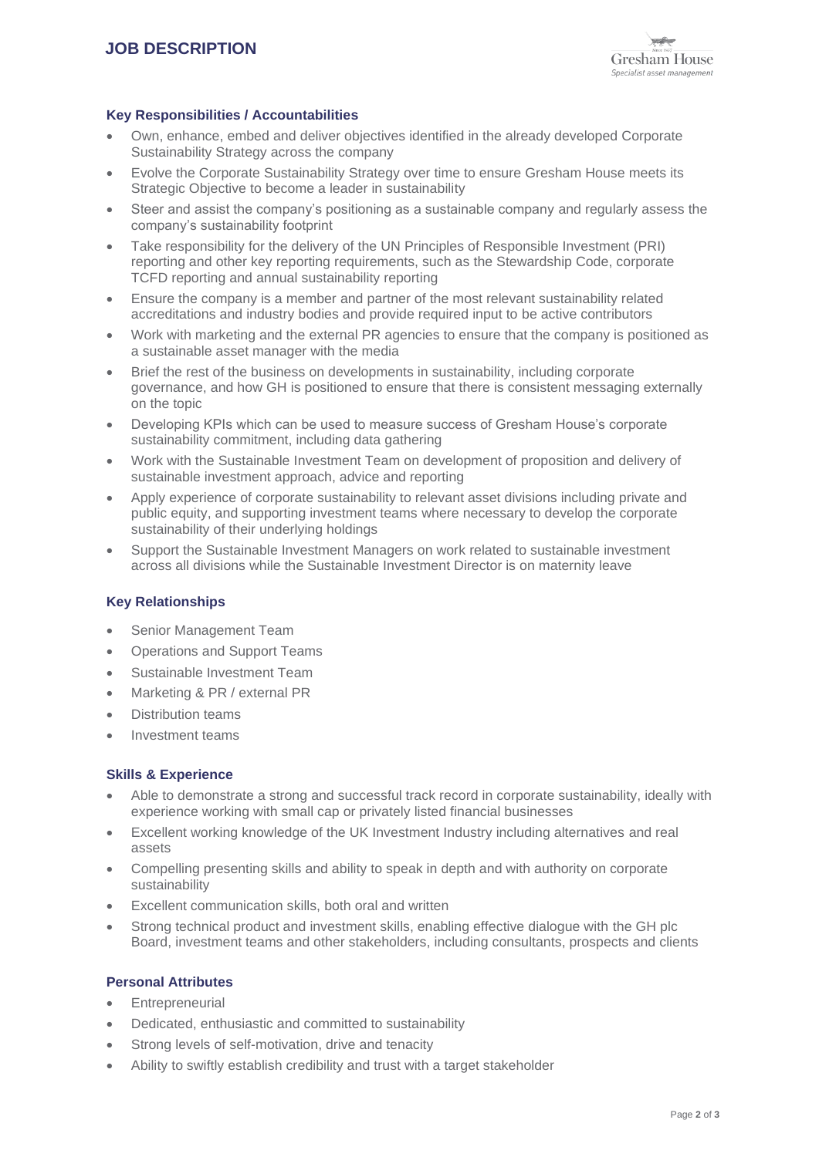## **Key Responsibilities / Accountabilities**

- Own, enhance, embed and deliver objectives identified in the already developed Corporate Sustainability Strategy across the company
- Evolve the Corporate Sustainability Strategy over time to ensure Gresham House meets its Strategic Objective to become a leader in sustainability
- Steer and assist the company's positioning as a sustainable company and regularly assess the company's sustainability footprint
- Take responsibility for the delivery of the UN Principles of Responsible Investment (PRI) reporting and other key reporting requirements, such as the Stewardship Code, corporate TCFD reporting and annual sustainability reporting
- Ensure the company is a member and partner of the most relevant sustainability related accreditations and industry bodies and provide required input to be active contributors
- Work with marketing and the external PR agencies to ensure that the company is positioned as a sustainable asset manager with the media
- Brief the rest of the business on developments in sustainability, including corporate governance, and how GH is positioned to ensure that there is consistent messaging externally on the topic
- Developing KPIs which can be used to measure success of Gresham House's corporate sustainability commitment, including data gathering
- Work with the Sustainable Investment Team on development of proposition and delivery of sustainable investment approach, advice and reporting
- Apply experience of corporate sustainability to relevant asset divisions including private and public equity, and supporting investment teams where necessary to develop the corporate sustainability of their underlying holdings
- Support the Sustainable Investment Managers on work related to sustainable investment across all divisions while the Sustainable Investment Director is on maternity leave

## **Key Relationships**

- Senior Management Team
- Operations and Support Teams
- Sustainable Investment Team
- Marketing & PR / external PR
- Distribution teams
- Investment teams

## **Skills & Experience**

- Able to demonstrate a strong and successful track record in corporate sustainability, ideally with experience working with small cap or privately listed financial businesses
- Excellent working knowledge of the UK Investment Industry including alternatives and real assets
- Compelling presenting skills and ability to speak in depth and with authority on corporate sustainability
- Excellent communication skills, both oral and written
- Strong technical product and investment skills, enabling effective dialogue with the GH plc Board, investment teams and other stakeholders, including consultants, prospects and clients

## **Personal Attributes**

- **Entrepreneurial**
- Dedicated, enthusiastic and committed to sustainability
- Strong levels of self-motivation, drive and tenacity
- Ability to swiftly establish credibility and trust with a target stakeholder